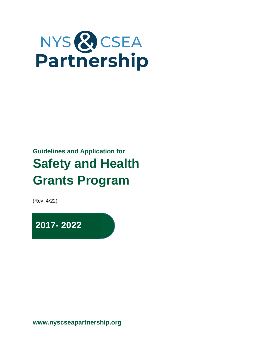# NYS & CSEA<br>Partnership

# **Guidelines and Application for Safety and Health Grants Program**

(Rev. 4/22)

**2017- 2022**

**www.nyscseapartnership.org**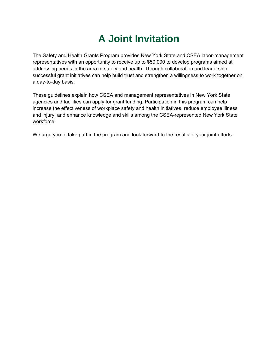## **A Joint Invitation**

The Safety and Health Grants Program provides New York State and CSEA labor-management representatives with an opportunity to receive up to \$50,000 to develop programs aimed at addressing needs in the area of safety and health. Through collaboration and leadership, successful grant initiatives can help build trust and strengthen a willingness to work together on a day-to-day basis.

These guidelines explain how CSEA and management representatives in New York State agencies and facilities can apply for grant funding. Participation in this program can help increase the effectiveness of workplace safety and health initiatives, reduce employee illness and injury, and enhance knowledge and skills among the CSEA-represented New York State workforce.

We urge you to take part in the program and look forward to the results of your joint efforts.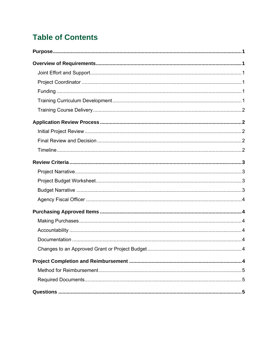## **Table of Contents**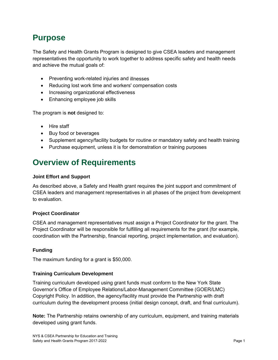## **Purpose**

The Safety and Health Grants Program is designed to give CSEA leaders and management representatives the opportunity to work together to address specific safety and health needs and achieve the mutual goals of:

- Preventing work-related injuries and illnesses
- Reducing lost work time and workers' compensation costs
- Increasing organizational effectiveness
- Enhancing employee job skills

The program is **not** designed to:

- Hire staff
- Buy food or beverages
- Supplement agency/facility budgets for routine or mandatory safety and health training
- Purchase equipment, unless it is for demonstration or training purposes

## **Overview of Requirements**

#### **Joint Effort and Support**

As described above, a Safety and Health grant requires the joint support and commitment of CSEA leaders and management representatives in all phases of the project from development to evaluation.

#### **Project Coordinator**

CSEA and management representatives must assign a Project Coordinator for the grant. The Project Coordinator will be responsible for fulfilling all requirements for the grant (for example, coordination with the Partnership, financial reporting, project implementation, and evaluation).

#### **Funding**

The maximum funding for a grant is \$50,000.

#### **Training Curriculum Development**

Training curriculum developed using grant funds must conform to the New York State Governor's Office of Employee Relations/Labor-Management Committee (GOER/LMC) Copyright Policy. In addition, the agency/facility must provide the Partnership with draft curriculum during the development process (initial design concept, draft, and final curriculum).

**Note:** The Partnership retains ownership of any curriculum, equipment, and training materials developed using grant funds.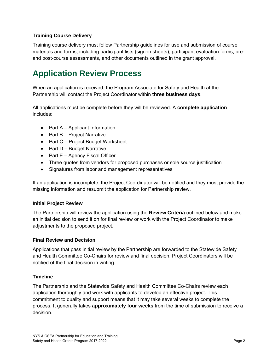#### **Training Course Delivery**

Training course delivery must follow Partnership guidelines for use and submission of course materials and forms, including participant lists (sign-in sheets), participant evaluation forms, preand post-course assessments, and other documents outlined in the grant approval.

## **Application Review Process**

When an application is received, the Program Associate for Safety and Health at the Partnership will contact the Project Coordinator within **three business days**.

All applications must be complete before they will be reviewed. A **complete application** includes:

- Part A Applicant Information
- $\bullet$  Part B Project Narrative
- Part C Project Budget Worksheet
- Part D Budget Narrative
- $\bullet$  Part E Agency Fiscal Officer
- Three quotes from vendors for proposed purchases or sole source justification
- Signatures from labor and management representatives

If an application is incomplete, the Project Coordinator will be notified and they must provide the missing information and resubmit the application for Partnership review.

#### **Initial Project Review**

The Partnership will review the application using the **Review Criteria** outlined below and make an initial decision to send it on for final review or work with the Project Coordinator to make adjustments to the proposed project.

#### **Final Review and Decision**

Applications that pass initial review by the Partnership are forwarded to the Statewide Safety and Health Committee Co-Chairs for review and final decision. Project Coordinators will be notified of the final decision in writing.

#### **Timeline**

The Partnership and the Statewide Safety and Health Committee Co-Chairs review each application thoroughly and work with applicants to develop an effective project. This commitment to quality and support means that it may take several weeks to complete the process. It generally takes **approximately four weeks** from the time of submission to receive a decision.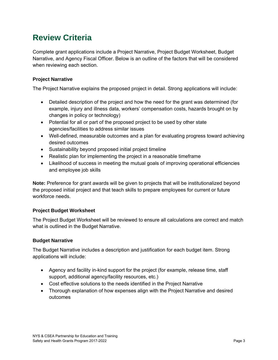## **Review Criteria**

Complete grant applications include a Project Narrative, Project Budget Worksheet, Budget Narrative, and Agency Fiscal Officer. Below is an outline of the factors that will be considered when reviewing each section.

#### **Project Narrative**

The Project Narrative explains the proposed project in detail. Strong applications will include:

- Detailed description of the project and how the need for the grant was determined (for example, injury and illness data, workers' compensation costs, hazards brought on by changes in policy or technology)
- Potential for all or part of the proposed project to be used by other state agencies/facilities to address similar issues
- Well-defined, measurable outcomes and a plan for evaluating progress toward achieving desired outcomes
- Sustainability beyond proposed initial project timeline
- Realistic plan for implementing the project in a reasonable timeframe
- Likelihood of success in meeting the mutual goals of improving operational efficiencies and employee job skills

**Note:** Preference for grant awards will be given to projects that will be institutionalized beyond the proposed initial project and that teach skills to prepare employees for current or future workforce needs.

#### **Project Budget Worksheet**

The Project Budget Worksheet will be reviewed to ensure all calculations are correct and match what is outlined in the Budget Narrative.

#### **Budget Narrative**

The Budget Narrative includes a description and justification for each budget item. Strong applications will include:

- Agency and facility in-kind support for the project (for example, release time, staff support, additional agency/facility resources, etc.)
- Cost effective solutions to the needs identified in the Project Narrative
- Thorough explanation of how expenses align with the Project Narrative and desired outcomes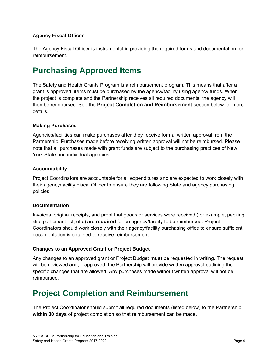#### **Agency Fiscal Officer**

The Agency Fiscal Officer is instrumental in providing the required forms and documentation for reimbursement.

## **Purchasing Approved Items**

The Safety and Health Grants Program is a reimbursement program. This means that after a grant is approved, items must be purchased by the agency/facility using agency funds. When the project is complete and the Partnership receives all required documents, the agency will then be reimbursed. See the **Project Completion and Reimbursement** section below for more details.

#### **Making Purchases**

Agencies/facilities can make purchases **after** they receive formal written approval from the Partnership. Purchases made before receiving written approval will not be reimbursed. Please note that all purchases made with grant funds are subject to the purchasing practices of New York State and individual agencies.

#### **Accountability**

Project Coordinators are accountable for all expenditures and are expected to work closely with their agency/facility Fiscal Officer to ensure they are following State and agency purchasing policies.

#### **Documentation**

Invoices, original receipts, and proof that goods or services were received (for example, packing slip, participant list, etc.) are **required** for an agency/facility to be reimbursed. Project Coordinators should work closely with their agency/facility purchasing office to ensure sufficient documentation is obtained to receive reimbursement.

#### **Changes to an Approved Grant or Project Budget**

Any changes to an approved grant or Project Budget **must** be requested in writing. The request will be reviewed and, if approved, the Partnership will provide written approval outlining the specific changes that are allowed. Any purchases made without written approval will not be reimbursed.

## **Project Completion and Reimbursement**

The Project Coordinator should submit all required documents (listed below) to the Partnership **within 30 days** of project completion so that reimbursement can be made.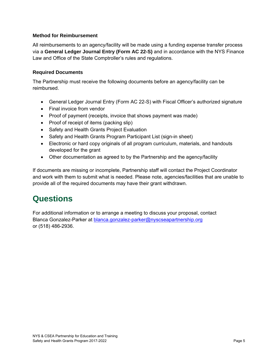#### **Method for Reimbursement**

All reimbursements to an agency/facility will be made using a funding expense transfer process via a **General Ledger Journal Entry (Form AC 22-S)** and in accordance with the NYS Finance Law and Office of the State Comptroller's rules and regulations.

#### **Required Documents**

The Partnership must receive the following documents before an agency/facility can be reimbursed.

- General Ledger Journal Entry (Form AC 22-S) with Fiscal Officer's authorized signature
- Final invoice from vendor
- Proof of payment (receipts, invoice that shows payment was made)
- Proof of receipt of items (packing slip)
- Safety and Health Grants Project Evaluation
- Safety and Health Grants Program Participant List (sign-in sheet)
- Electronic or hard copy originals of all program curriculum, materials, and handouts developed for the grant
- Other documentation as agreed to by the Partnership and the agency/facility

If documents are missing or incomplete, Partnership staff will contact the Project Coordinator and work with them to submit what is needed. Please note, agencies/facilities that are unable to provide all of the required documents may have their grant withdrawn.

### **Questions**

For additional information or to arrange a meeting to discuss your proposal, contact Blanca Gonzalez-Parker at blanca.gonzalez-parker@nyscseapartnership.org or (518) 486-2936.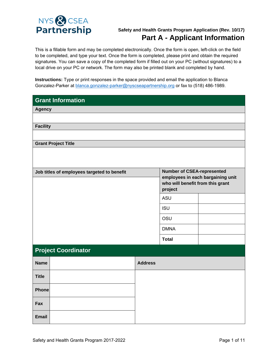

#### **Safety and Health Grants Program Application (Rev. 10/17) Part A - Applicant Information**

This is a fillable form and may be completed electronically. Once the form is open, left-click on the field to be completed, and type your text. Once the form is completed, please print and obtain the required signatures. You can save a copy of the completed form if filled out on your PC (without signatures) to a local drive on your PC or network. The form may also be printed blank and completed by hand.

**Instructions:** Type or print responses in the space provided and email the application to Blanca Gonzalez-Parker at blanca.gonzalez-parker@nyscseapartnership.org or fax to (518) 486-1989.

| <b>Grant Information</b>                                                         |                |                                   |  |
|----------------------------------------------------------------------------------|----------------|-----------------------------------|--|
| <b>Agency</b>                                                                    |                |                                   |  |
|                                                                                  |                |                                   |  |
| <b>Facility</b>                                                                  |                |                                   |  |
|                                                                                  |                |                                   |  |
| <b>Grant Project Title</b>                                                       |                |                                   |  |
|                                                                                  |                |                                   |  |
|                                                                                  |                |                                   |  |
| <b>Number of CSEA-represented</b><br>Job titles of employees targeted to benefit |                | employees in each bargaining unit |  |
|                                                                                  |                | who will benefit from this grant  |  |
|                                                                                  |                | project                           |  |
|                                                                                  |                | ASU                               |  |
|                                                                                  |                | <b>ISU</b>                        |  |
|                                                                                  |                | OSU                               |  |
|                                                                                  |                | <b>DMNA</b>                       |  |
|                                                                                  |                | <b>Total</b>                      |  |
| <b>Project Coordinator</b>                                                       |                |                                   |  |
| <b>Name</b>                                                                      | <b>Address</b> |                                   |  |
| <b>Title</b>                                                                     |                |                                   |  |
| <b>Phone</b>                                                                     |                |                                   |  |
| Fax                                                                              |                |                                   |  |
| <b>Email</b>                                                                     |                |                                   |  |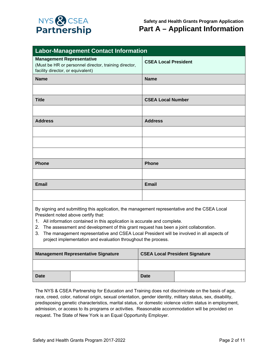

| <b>Labor-Management Contact Information</b>                                                                                    |                             |  |
|--------------------------------------------------------------------------------------------------------------------------------|-----------------------------|--|
| <b>Management Representative</b><br>(Must be HR or personnel director, training director,<br>facility director, or equivalent) | <b>CSEA Local President</b> |  |
| <b>Name</b>                                                                                                                    | <b>Name</b>                 |  |
|                                                                                                                                |                             |  |
| <b>Title</b>                                                                                                                   | <b>CSEA Local Number</b>    |  |
|                                                                                                                                |                             |  |
| <b>Address</b>                                                                                                                 | <b>Address</b>              |  |
|                                                                                                                                |                             |  |
|                                                                                                                                |                             |  |
|                                                                                                                                |                             |  |
| Phone                                                                                                                          | <b>Phone</b>                |  |
|                                                                                                                                |                             |  |
| <b>Email</b>                                                                                                                   | <b>Email</b>                |  |
|                                                                                                                                |                             |  |
|                                                                                                                                |                             |  |

By signing and submitting this application, the management representative and the CSEA Local President noted above certify that:

- 1. All information contained in this application is accurate and complete.
- 2. The assessment and development of this grant request has been a joint collaboration.
- 3. The management representative and CSEA Local President will be involved in all aspects of project implementation and evaluation throughout the process.

| Management Representative Signature |  | <b>CSEA Local President Signature</b> |  |
|-------------------------------------|--|---------------------------------------|--|
|                                     |  |                                       |  |
| <b>Date</b>                         |  | Date                                  |  |

The NYS & CSEA Partnership for Education and Training does not discriminate on the basis of age, race, creed, color, national origin, sexual orientation, gender identity, military status, sex, disability, predisposing genetic characteristics, marital status, or domestic violence victim status in employment, admission, or access to its programs or activities. Reasonable accommodation will be provided on request. The State of New York is an Equal Opportunity Employer.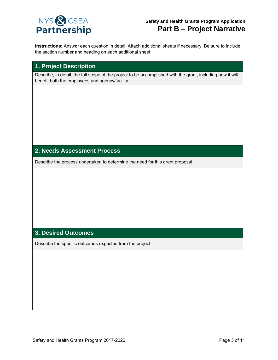

**Instructions:** Answer each question in detail. Attach additional sheets if necessary. Be sure to include the section number and heading on each additional sheet.

#### **1. Project Description**

Describe, in detail, the full scope of the project to be accomplished with the grant, including how it will benefit both the employees and agency/facility.

#### **2. Needs Assessment Process**

Describe the process undertaken to determine the need for this grant proposal.

#### **3. Desired Outcomes**

Describe the specific outcomes expected from the project.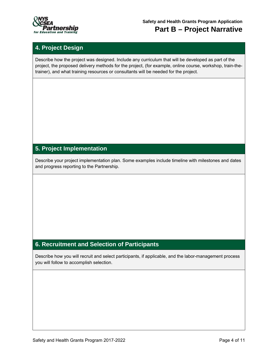

#### **4. Project Design**

Describe how the project was designed. Include any curriculum that will be developed as part of the project, the proposed delivery methods for the project, (for example, online course, workshop, train-thetrainer), and what training resources or consultants will be needed for the project.

#### **5. Project Implementation**

Describe your project implementation plan. Some examples include timeline with milestones and dates and progress reporting to the Partnership.

#### **6. Recruitment and Selection of Participants**

Describe how you will recruit and select participants, if applicable, and the labor-management process you will follow to accomplish selection.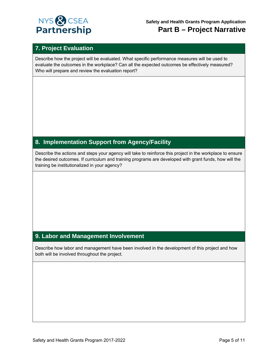

**Safety and Health Grants Program Application Part B – Project Narrative**

#### **7. Project Evaluation**

Describe how the project will be evaluated. What specific performance measures will be used to evaluate the outcomes in the workplace? Can all the expected outcomes be effectively measured? Who will prepare and review the evaluation report?

#### **8. Implementation Support from Agency/Facility**

Describe the actions and steps your agency will take to reinforce this project in the workplace to ensure the desired outcomes. If curriculum and training programs are developed with grant funds, how will the training be institutionalized in your agency?

#### **9. Labor and Management Involvement**

Describe how labor and management have been involved in the development of this project and how both will be involved throughout the project.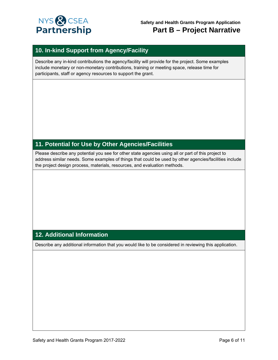

#### **10. In-kind Support from Agency/Facility**

Describe any in-kind contributions the agency/facility will provide for the project. Some examples include monetary or non-monetary contributions, training or meeting space, release time for participants, staff or agency resources to support the grant.

#### **11. Potential for Use by Other Agencies/Facilities**

Please describe any potential you see for other state agencies using all or part of this project to address similar needs. Some examples of things that could be used by other agencies/facilities include the project design process, materials, resources, and evaluation methods.

#### **12. Additional Information**

Describe any additional information that you would like to be considered in reviewing this application.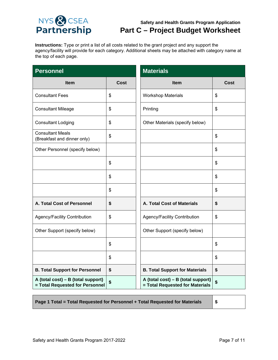

#### **Safety and Health Grants Program Application Part C – Project Budget Worksheet**

**Instructions:** Type or print a list of all costs related to the grant project and any support the agency/facility will provide for each category. Additional sheets may be attached with category name at the top of each page.

| <b>Personnel</b>                                                      |             | <b>Materials</b>                                                      |             |  |
|-----------------------------------------------------------------------|-------------|-----------------------------------------------------------------------|-------------|--|
| <b>Item</b>                                                           | <b>Cost</b> | Item                                                                  | <b>Cost</b> |  |
| <b>Consultant Fees</b>                                                | \$          | <b>Workshop Materials</b>                                             | \$          |  |
| <b>Consultant Mileage</b>                                             | \$          | Printing                                                              | \$          |  |
| <b>Consultant Lodging</b>                                             | \$          | Other Materials (specify below)                                       |             |  |
| <b>Consultant Meals</b><br>(Breakfast and dinner only)                | \$          |                                                                       | \$          |  |
| Other Personnel (specify below)                                       |             |                                                                       | \$          |  |
|                                                                       | \$          |                                                                       | \$          |  |
|                                                                       | \$          |                                                                       | \$          |  |
|                                                                       | \$          |                                                                       | \$          |  |
| A. Total Cost of Personnel                                            | \$          | A. Total Cost of Materials                                            | \$          |  |
| Agency/Facility Contribution                                          | \$          | Agency/Facility Contribution                                          | \$          |  |
| Other Support (specify below)                                         |             | Other Support (specify below)                                         |             |  |
|                                                                       | \$          |                                                                       | \$          |  |
|                                                                       | \$          |                                                                       | \$          |  |
| <b>B. Total Support for Personnel</b>                                 | \$          | <b>B. Total Support for Materials</b>                                 | \$          |  |
| A (total cost) – B (total support)<br>= Total Requested for Personnel | \$          | A (total cost) - B (total support)<br>= Total Requested for Materials | \$          |  |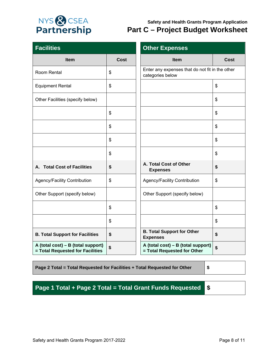

#### **Safety and Health Grants Program Application Part C – Project Budget Worksheet**

| <b>Facilities</b>                                                      |             | <b>Other Expenses</b>                                               |      |
|------------------------------------------------------------------------|-------------|---------------------------------------------------------------------|------|
| <b>Item</b>                                                            | <b>Cost</b> | Item                                                                | Cost |
| Room Rental                                                            | \$          | Enter any expenses that do not fit in the other<br>categories below |      |
| <b>Equipment Rental</b>                                                | \$          |                                                                     | \$   |
| Other Facilities (specify below)                                       |             |                                                                     | \$   |
|                                                                        | \$          |                                                                     | \$   |
|                                                                        | \$          |                                                                     | \$   |
|                                                                        | \$          |                                                                     | \$   |
|                                                                        | \$          |                                                                     | \$   |
| A. Total Cost of Facilities                                            | \$          | A. Total Cost of Other<br><b>Expenses</b>                           | \$   |
| Agency/Facility Contribution                                           | \$          | Agency/Facility Contribution                                        | \$   |
| Other Support (specify below)                                          |             | Other Support (specify below)                                       |      |
|                                                                        | \$          |                                                                     | \$   |
|                                                                        | \$          |                                                                     | \$   |
| <b>B. Total Support for Facilities</b>                                 | \$          | <b>B. Total Support for Other</b><br><b>Expenses</b>                | \$   |
| A (total cost) – B (total support)<br>= Total Requested for Facilities | \$          | A (total cost) – B (total support)<br>= Total Requested for Other   | \$   |

#### **Page 2 Total = Total Requested for Facilities + Total Requested for Other \$**

**Page 1 Total + Page 2 Total = Total Grant Funds Requested \$**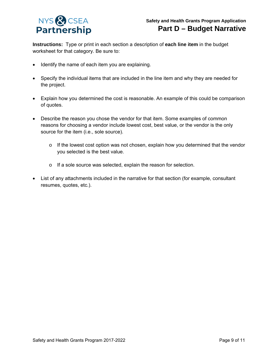

**Instructions:** Type or print in each section a description of **each line item** in the budget worksheet for that category. Be sure to:

- Identify the name of each item you are explaining.
- Specify the individual items that are included in the line item and why they are needed for the project.
- Explain how you determined the cost is reasonable. An example of this could be comparison of quotes.
- Describe the reason you chose the vendor for that item. Some examples of common reasons for choosing a vendor include lowest cost, best value, or the vendor is the only source for the item (i.e., sole source).
	- $\circ$  If the lowest cost option was not chosen, explain how you determined that the vendor you selected is the best value.
	- o If a sole source was selected, explain the reason for selection.
- List of any attachments included in the narrative for that section (for example, consultant resumes, quotes, etc.).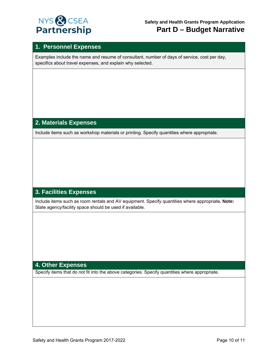

#### **1. Personnel Expenses**

Examples include the name and resume of consultant, number of days of service, cost per day, specifics about travel expenses, and explain why selected.

#### **2. Materials Expenses**

Include items such as workshop materials or printing. Specify quantities where appropriate.

#### **3. Facilities Expenses**

Include items such as room rentals and AV equipment. Specify quantities where appropriate**. Note:** State agency/facility space should be used if available.

#### **4. Other Expenses**

Specify items that do not fit into the above categories. Specify quantities where appropriate.